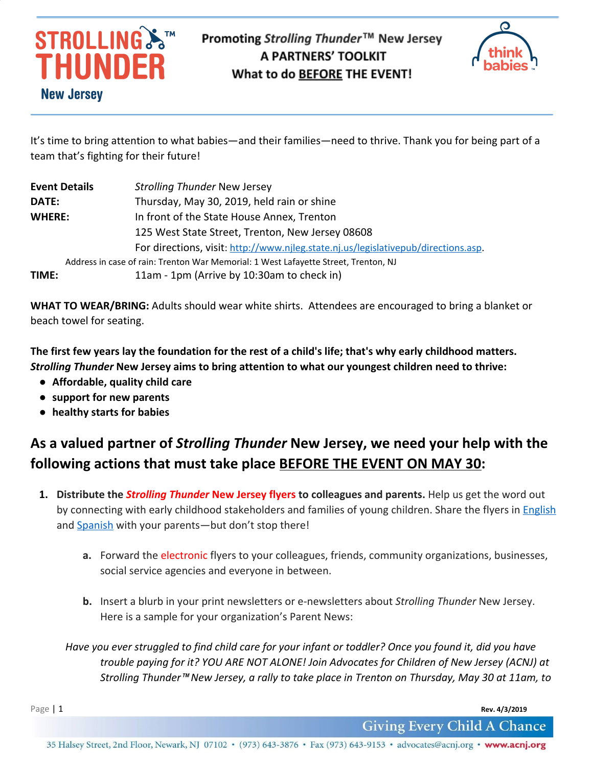



It's time to bring attention to what babies—and their families—need to thrive. Thank you for being part of a team that's fighting for their future!

| <b>Event Details</b> | <b>Strolling Thunder New Jersey</b>                                                 |
|----------------------|-------------------------------------------------------------------------------------|
| DATE:                | Thursday, May 30, 2019, held rain or shine                                          |
| <b>WHERE:</b>        | In front of the State House Annex, Trenton                                          |
|                      | 125 West State Street, Trenton, New Jersey 08608                                    |
|                      | For directions, visit: http://www.njleg.state.nj.us/legislativepub/directions.asp.  |
|                      | Address in case of rain: Trenton War Memorial: 1 West Lafayette Street, Trenton, NJ |
| TIME:                | 11am - 1pm (Arrive by 10:30am to check in)                                          |

**WHAT TO WEAR/BRING:** Adults should wear white shirts. Attendees are encouraged to bring a blanket or beach towel for seating.

**The first few years lay the foundation for the rest of a child's life; that's why early childhood matters.** *Strolling Thunder* **New Jersey aims to bring attention to what our youngest children need to thrive:**

- **● Affordable, quality child care**
- **● support for new parents**
- **● healthy starts for babies**

## **As a valued partner of** *Strolling Thunder* **New Jersey, we need your help with the following actions that must take place BEFORE THE EVENT ON MAY 30:**

- **1. Distribute the** *Strolling Thunder* **New Jersey flyers to colleagues and parents.** Help us get the word out by connecting with early childhood stakeholders and families of young children. Share the flyers in **[English](https://acnj.org/downloads/2019_strollingthunderposter_eng.pdf)** and [Spanish](https://acnj.org/downloads/2019_strollingthunderposter_spa.pdf) with your parents—but don't stop there!
	- **a.** Forward the electronic flyers to your colleagues, friends, community organizations, businesses, social service agencies and everyone in between.
	- **b.** Insert a blurb in your print newsletters or e-newsletters about *Strolling Thunder* New Jersey. Here is a sample for your organization's Parent News:

*Have you ever struggled to find child care for your infant or toddler? Once you found it, did you have trouble paying for it? YOU ARE NOT ALONE! Join Advocates for Children of New Jersey (ACNJ) at Strolling Thunder*™ *New Jersey, a rally to take place in Trenton on Thursday, May 30 at 11am, to*

**Page | 1 Rev. 4/3/2019**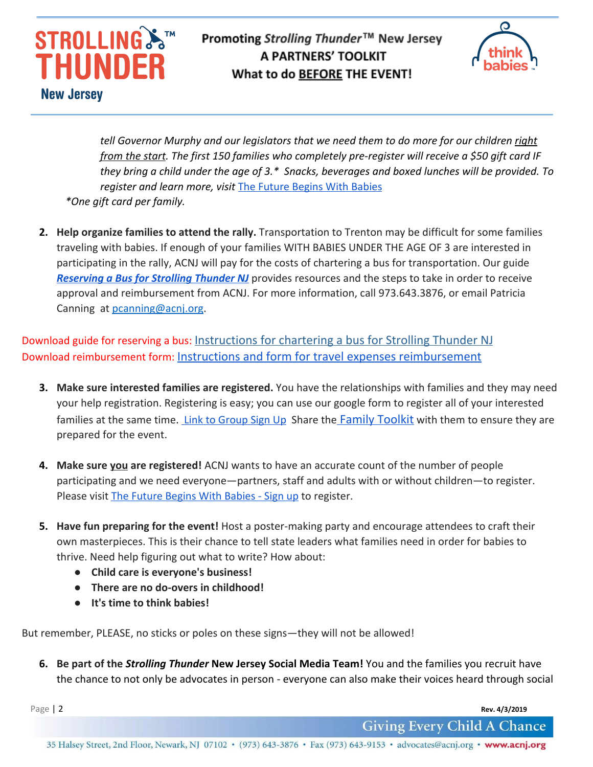



*tell Governor Murphy and our legislators that we need them to do more for our children right from the start. The first 150 families who completely pre-register will receive a \$50 gift card IF they bring a child under the age of 3.\* Snacks, beverages and boxed lunches will be provided. To register and learn more, visit* [The Future Begins With Babies](https://acnj.org/issues/early-learning/birth-to-three/get-involved/) *\*One gift card per family.*

**2. Help organize families to attend the rally.** Transportation to Trenton may be difficult for some families traveling with babies. If enough of your families WITH BABIES UNDER THE AGE OF 3 are interested in participating in the rally, ACNJ will pay for the costs of chartering a bus for transportation. Our guide **[Reserving a Bus for Strolling Thunder NJ](https://acnj.org/downloads/2019_strolling_thunder_chartering_bus.pdf)** provides resources and the steps to take in order to receive approval and reimbursement from ACNJ. For more information, call 973.643.3876, or email Patricia Canning at [pcanning@acnj.org](mailto:pcanning@acnj.org).

Download guide for reserving a bus: [Instructions for chartering a bus for Strolling Thunder NJ](https://acnj.org/downloads/2019_strolling_thunder_chartering_bus.pdf) Download reimbursement form: [Instructions and form for travel expenses reimbursement](https://acnj.org/downloads/2019_strolling_thundertravelexpenseform.pdf)

- **3. Make sure interested families are registered.** You have the relationships with families and they may need your help registration. Registering is easy; you can use our google form to register all of your interested families at the same time. [Link to Group Sign Up](https://acnj.org/issues/early-learning/birth-to-three/strolling-thunder-nj-2019-sign-up/) Share the [Family Toolkit](https://acnj.org/downloads/2019_strolling_thunder_family_toolkit.pdf) with them to ensure they are prepared for the event.
- **4. Make sure you are registered!** ACNJ wants to have an accurate count of the number of people participating and we need everyone—partners, staff and adults with or without children—to register. Please visit [The Future Begins With Babies - Sign up](https://acnj.org/issues/early-learning/birth-to-three/strolling-thunder-nj-2019-sign-up/) to register.
- **5. Have fun preparing for the event!** Host a poster-making party and encourage attendees to craft their own masterpieces. This is their chance to tell state leaders what families need in order for babies to thrive. Need help figuring out what to write? How about:
	- **● Child care is everyone's business!**
	- **● There are no do-overs in childhood!**
	- **● It's time to think babies!**

But remember, PLEASE, no sticks or poles on these signs—they will not be allowed!

**6. Be part of the** *Strolling Thunder* **New Jersey Social Media Team!** You and the families you recruit have the chance to not only be advocates in person - everyone can also make their voices heard through social

Page | 2 **Rev. 4/3/2019**

**Giving Every Child A Chance** 

35 Halsey Street, 2nd Floor, Newark, NJ 07102 • (973) 643-3876 • Fax (973) 643-9153 • advocates@acnj.org • www.acnj.org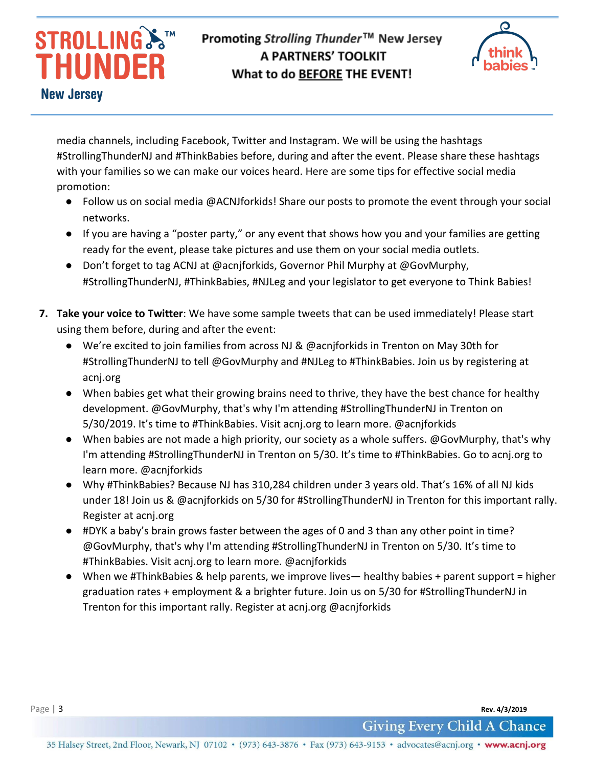# **STROLLING**S THUNDER **New Jersey**

## Promoting Strolling Thunder™ New Jersey **A PARTNERS' TOOLKIT** What to do BEFORE THE EVENT!



media channels, including Facebook, Twitter and Instagram. We will be using the hashtags #StrollingThunderNJ and #ThinkBabies before, during and after the event. Please share these hashtags with your families so we can make our voices heard. Here are some tips for effective social media promotion:

- Follow us on social media @ACNJforkids! Share our posts to promote the event through your social networks.
- If you are having a "poster party," or any event that shows how you and your families are getting ready for the event, please take pictures and use them on your social media outlets.
- Don't forget to tag ACNJ at @acnjforkids, Governor Phil Murphy at @GovMurphy, #StrollingThunderNJ, #ThinkBabies, #NJLeg and your legislator to get everyone to Think Babies!
- **7. Take your voice to Twitter**: We have some sample tweets that can be used immediately! Please start using them before, during and after the event:
	- We're excited to join families from across NJ & @acnjforkids in Trenton on May 30th for #StrollingThunderNJ to tell @GovMurphy and #NJLeg to #ThinkBabies. Join us by registering at acnj.org
	- When babies get what their growing brains need to thrive, they have the best chance for healthy development. @GovMurphy, that's why I'm attending #StrollingThunderNJ in Trenton on 5/30/2019. It's time to #ThinkBabies. Visit acnj.org to learn more. @acnjforkids
	- When babies are not made a high priority, our society as a whole suffers. @GovMurphy, that's why I'm attending #StrollingThunderNJ in Trenton on 5/30. It's time to #ThinkBabies. Go to acnj.org to learn more. @acnjforkids
	- Why #ThinkBabies? Because NJ has 310,284 children under 3 years old. That's 16% of all NJ kids under 18! Join us & @acnjforkids on 5/30 for #StrollingThunderNJ in Trenton for this important rally. Register at acnj.org
	- #DYK a baby's brain grows faster between the ages of 0 and 3 than any other point in time? @GovMurphy, that's why I'm attending #StrollingThunderNJ in Trenton on 5/30. It's time to #ThinkBabies. Visit acnj.org to learn more. @acnjforkids
	- When we #ThinkBabies & help parents, we improve lives— healthy babies + parent support = higher graduation rates + employment & a brighter future. Join us on 5/30 for #StrollingThunderNJ in Trenton for this important rally. Register at acnj.org @acnjforkids

Page | 3 **Rev. 4/3/2019**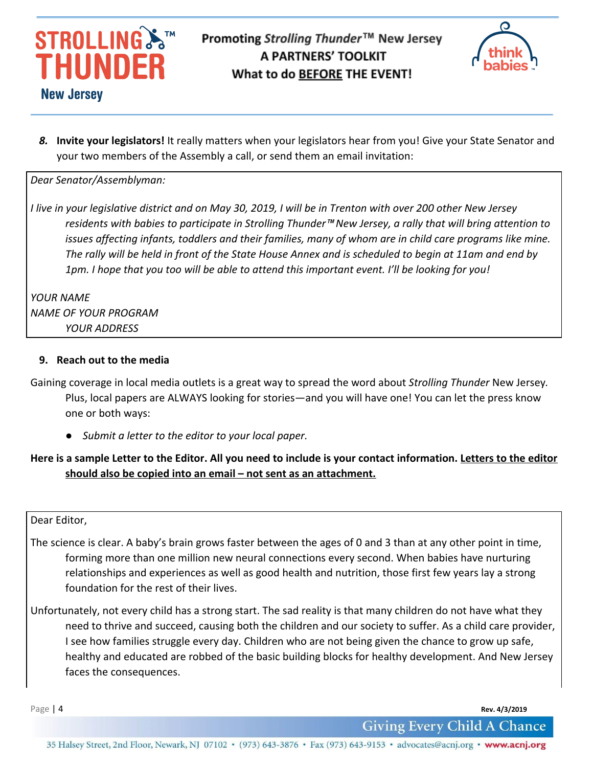



*8.* **Invite your legislators!** It really matters when your legislators hear from you! Give your State Senator and your two members of the Assembly a call, or send them an email invitation:

*Dear Senator/Assemblyman:*

*I live in your legislative district and on May 30, 2019, I will be in Trenton with over 200 other New Jersey residents with babies to participate in Strolling Thunder*™ *New Jersey, a rally that will bring attention to issues affecting infants, toddlers and their families, many of whom are in child care programs like mine. The rally will be held in front of the State House Annex and is scheduled to begin at 11am and end by 1pm. I hope that you too will be able to attend this important event. I'll be looking for you!*

*YOUR NAME NAME OF YOUR PROGRAM YOUR ADDRESS*

#### **9. Reach out to the media**

- Gaining coverage in local media outlets is a great way to spread the word about *Strolling Thunder* New Jersey*.* Plus, local papers are ALWAYS looking for stories—and you will have one! You can let the press know one or both ways:
	- *● Submit a letter to the editor to your local paper.*

#### **Here is a sample Letter to the Editor. All you need to include is your contact information. Letters to the editor should also be copied into an email – not sent as an attachment.**

Dear Editor,

- The science is clear. A baby's brain grows faster between the ages of 0 and 3 than at any other point in time, forming more than one million new neural connections every second. When babies have nurturing relationships and experiences as well as good health and nutrition, those first few years lay a strong foundation for the rest of their lives.
- Unfortunately, not every child has a strong start. The sad reality is that many children do not have what they need to thrive and succeed, causing both the children and our society to suffer. As a child care provider, I see how families struggle every day. Children who are not being given the chance to grow up safe, healthy and educated are robbed of the basic building blocks for healthy development. And New Jersey faces the consequences.

Page | 4 **Rev. 4/3/2019**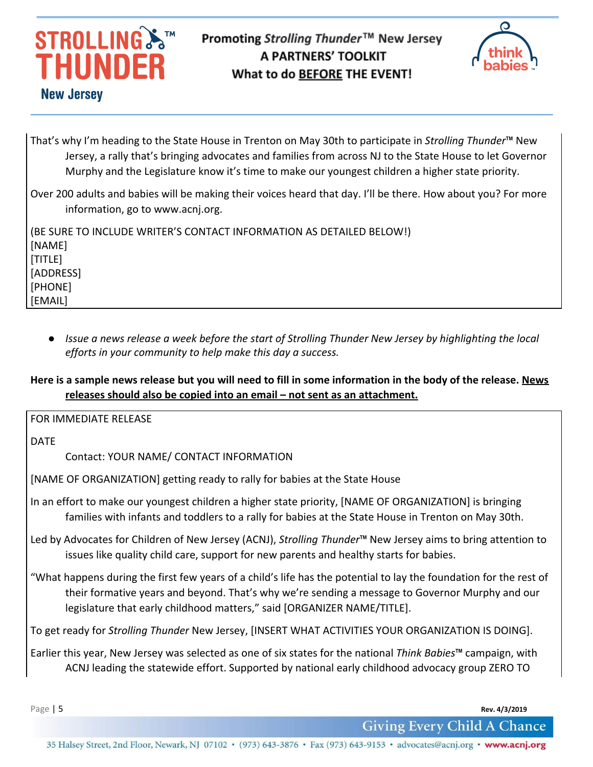# **STROLLING**&™ THUNDER **New Jersey**

### Promoting Strolling Thunder™ New Jersey **A PARTNERS' TOOLKIT** What to do BEFORE THE EVENT!



That's why I'm heading to the State House in Trenton on May 30th to participate in *Strolling Thunder*™ New Jersey, a rally that's bringing advocates and families from across NJ to the State House to let Governor Murphy and the Legislature know it's time to make our youngest children a higher state priority.

Over 200 adults and babies will be making their voices heard that day. I'll be there. How about you? For more information, go to www.acnj.org.

(BE SURE TO INCLUDE WRITER'S CONTACT INFORMATION AS DETAILED BELOW!) [NAME] [TITLE] [ADDRESS] [PHONE] [EMAIL]

*● Issue a news release a week before the start of Strolling Thunder New Jersey by highlighting the local efforts in your community to help make this day a success.*

#### **Here is a sample news release but you will need to fill in some information in the body of the release. News releases should also be copied into an email – not sent as an attachment.**

FOR IMMEDIATE RELEASE

DATE

Contact: YOUR NAME/ CONTACT INFORMATION

[NAME OF ORGANIZATION] getting ready to rally for babies at the State House

In an effort to make our youngest children a higher state priority, [NAME OF ORGANIZATION] is bringing families with infants and toddlers to a rally for babies at the State House in Trenton on May 30th.

Led by Advocates for Children of New Jersey (ACNJ), *Strolling Thunder*™ New Jersey aims to bring attention to issues like quality child care, support for new parents and healthy starts for babies.

"What happens during the first few years of a child's life has the potential to lay the foundation for the rest of their formative years and beyond. That's why we're sending a message to Governor Murphy and our legislature that early childhood matters," said [ORGANIZER NAME/TITLE].

To get ready for *Strolling Thunder* New Jersey, [INSERT WHAT ACTIVITIES YOUR ORGANIZATION IS DOING].

Earlier this year, New Jersey was selected as one of six states for the national *Think Babies*™ campaign, with ACNJ leading the statewide effort. Supported by national early childhood advocacy group ZERO TO

Page | 5 **Rev. 4/3/2019**